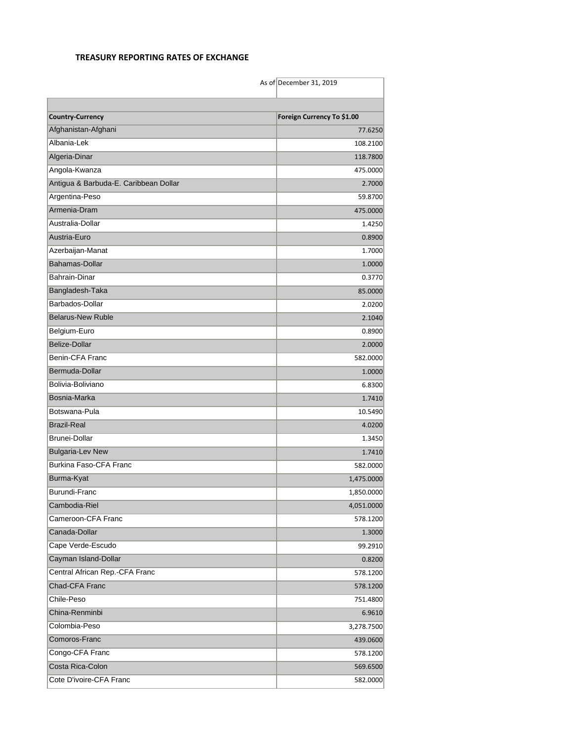## **TREASURY REPORTING RATES OF EXCHANGE**

|                                       | As of December 31, 2019    |
|---------------------------------------|----------------------------|
|                                       |                            |
| <b>Country-Currency</b>               | Foreign Currency To \$1.00 |
| Afghanistan-Afghani                   | 77.6250                    |
| Albania-Lek                           | 108.2100                   |
| Algeria-Dinar                         | 118.7800                   |
| Angola-Kwanza                         | 475.0000                   |
| Antigua & Barbuda-E. Caribbean Dollar | 2.7000                     |
| Argentina-Peso                        | 59.8700                    |
| Armenia-Dram                          | 475.0000                   |
| Australia-Dollar                      | 1.4250                     |
| Austria-Euro                          | 0.8900                     |
| Azerbaijan-Manat                      | 1.7000                     |
| Bahamas-Dollar                        | 1.0000                     |
| <b>Bahrain-Dinar</b>                  | 0.3770                     |
| Bangladesh-Taka                       | 85.0000                    |
| Barbados-Dollar                       | 2.0200                     |
| <b>Belarus-New Ruble</b>              | 2.1040                     |
| Belgium-Euro                          | 0.8900                     |
| Belize-Dollar                         | 2.0000                     |
| Benin-CFA Franc                       | 582.0000                   |
| Bermuda-Dollar                        | 1.0000                     |
| Bolivia-Boliviano                     | 6.8300                     |
| Bosnia-Marka                          | 1.7410                     |
| Botswana-Pula                         | 10.5490                    |
| <b>Brazil-Real</b>                    | 4.0200                     |
| <b>Brunei-Dollar</b>                  | 1.3450                     |
| <b>Bulgaria-Lev New</b>               | 1.7410                     |
| Burkina Faso-CFA Franc                | 582.0000                   |
| Burma-Kyat                            | 1,475.0000                 |
| Burundi-Franc                         | 1,850.0000                 |
| Cambodia-Riel                         | 4,051.0000                 |
| Cameroon-CFA Franc                    | 578.1200                   |
| Canada-Dollar                         | 1.3000                     |
| Cape Verde-Escudo                     | 99.2910                    |
| Cayman Island-Dollar                  | 0.8200                     |
| Central African Rep.-CFA Franc        | 578.1200                   |
| Chad-CFA Franc                        | 578.1200                   |
| Chile-Peso                            | 751.4800                   |
| China-Renminbi                        | 6.9610                     |
| Colombia-Peso                         | 3,278.7500                 |
| Comoros-Franc                         | 439.0600                   |
| Congo-CFA Franc                       | 578.1200                   |
| Costa Rica-Colon                      | 569.6500                   |
| Cote D'ivoire-CFA Franc               | 582.0000                   |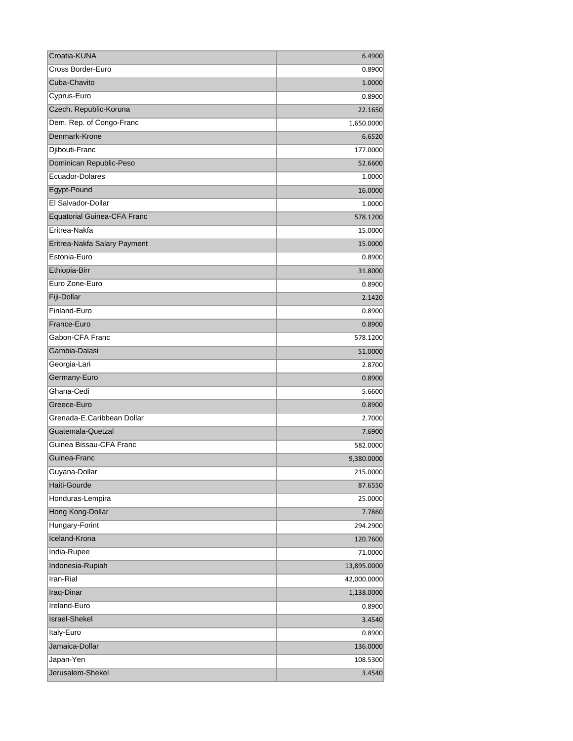| Croatia-KUNA                       | 6.4900      |
|------------------------------------|-------------|
| Cross Border-Euro                  | 0.8900      |
| Cuba-Chavito                       | 1.0000      |
| Cyprus-Euro                        | 0.8900      |
| Czech. Republic-Koruna             | 22.1650     |
| Dem. Rep. of Congo-Franc           | 1,650.0000  |
| Denmark-Krone                      | 6.6520      |
| Djibouti-Franc                     | 177.0000    |
| Dominican Republic-Peso            | 52.6600     |
| Ecuador-Dolares                    | 1.0000      |
| Egypt-Pound                        | 16.0000     |
| El Salvador-Dollar                 | 1.0000      |
| <b>Equatorial Guinea-CFA Franc</b> | 578.1200    |
| Eritrea-Nakfa                      | 15.0000     |
| Eritrea-Nakfa Salary Payment       | 15.0000     |
| Estonia-Euro                       | 0.8900      |
| Ethiopia-Birr                      | 31.8000     |
| Euro Zone-Euro                     | 0.8900      |
| Fiji-Dollar                        | 2.1420      |
| Finland-Euro                       | 0.8900      |
| France-Euro                        | 0.8900      |
| Gabon-CFA Franc                    | 578.1200    |
| Gambia-Dalasi                      | 51.0000     |
| Georgia-Lari                       | 2.8700      |
| Germany-Euro                       | 0.8900      |
| Ghana-Cedi                         | 5.6600      |
| Greece-Euro                        | 0.8900      |
| Grenada-E.Caribbean Dollar         | 2.7000      |
| Guatemala-Quetzal                  | 7.6900      |
| Guinea Bissau-CFA Franc            | 582.0000    |
| Guinea-Franc                       | 9,380.0000  |
| Guyana-Dollar                      | 215.0000    |
| Haiti-Gourde                       | 87.6550     |
| Honduras-Lempira                   | 25.0000     |
| Hong Kong-Dollar                   | 7.7860      |
| Hungary-Forint                     | 294.2900    |
| Iceland-Krona                      | 120.7600    |
| India-Rupee                        | 71.0000     |
| Indonesia-Rupiah                   | 13,895.0000 |
| Iran-Rial                          | 42,000.0000 |
| Iraq-Dinar                         | 1,138.0000  |
| Ireland-Euro                       | 0.8900      |
| <b>Israel-Shekel</b>               | 3.4540      |
| Italy-Euro                         | 0.8900      |
| Jamaica-Dollar                     | 136.0000    |
| Japan-Yen                          | 108.5300    |
| Jerusalem-Shekel                   | 3.4540      |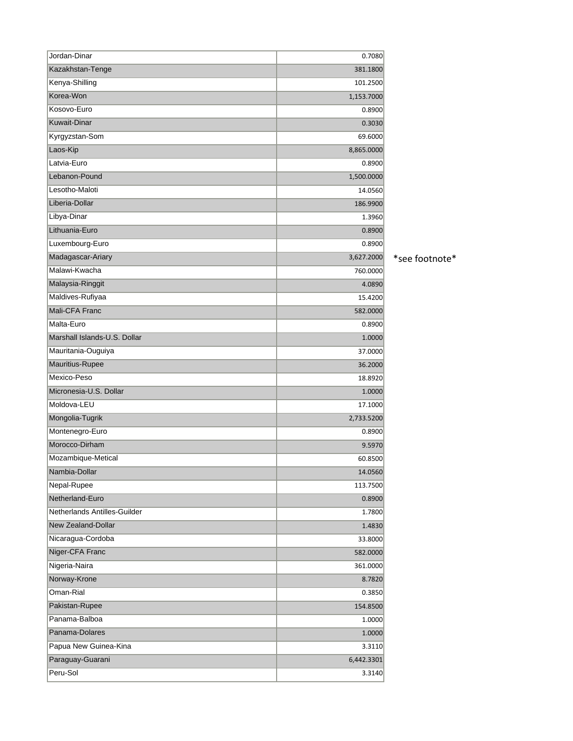| Jordan-Dinar                 | 0.7080     |                |
|------------------------------|------------|----------------|
| Kazakhstan-Tenge             | 381.1800   |                |
| Kenya-Shilling               | 101.2500   |                |
| Korea-Won                    | 1,153.7000 |                |
| Kosovo-Euro                  | 0.8900     |                |
| <b>Kuwait-Dinar</b>          | 0.3030     |                |
| Kyrgyzstan-Som               | 69.6000    |                |
| Laos-Kip                     | 8,865.0000 |                |
| Latvia-Euro                  | 0.8900     |                |
| Lebanon-Pound                | 1,500.0000 |                |
| Lesotho-Maloti               | 14.0560    |                |
| Liberia-Dollar               | 186.9900   |                |
| Libya-Dinar                  | 1.3960     |                |
| Lithuania-Euro               | 0.8900     |                |
| Luxembourg-Euro              | 0.8900     |                |
| Madagascar-Ariary            | 3,627.2000 | *see footnote* |
| Malawi-Kwacha                | 760.0000   |                |
| Malaysia-Ringgit             | 4.0890     |                |
| Maldives-Rufiyaa             | 15.4200    |                |
| Mali-CFA Franc               | 582.0000   |                |
| Malta-Euro                   | 0.8900     |                |
| Marshall Islands-U.S. Dollar | 1.0000     |                |
| Mauritania-Ouguiya           | 37.0000    |                |
| Mauritius-Rupee              | 36.2000    |                |
| Mexico-Peso                  | 18.8920    |                |
| Micronesia-U.S. Dollar       | 1.0000     |                |
| Moldova-LEU                  | 17.1000    |                |
| Mongolia-Tugrik              | 2,733.5200 |                |
| Montenegro-Euro              | 0.8900     |                |
| Morocco-Dirham               | 9.5970     |                |
| Mozambique-Metical           | 60.8500    |                |
| Nambia-Dollar                | 14.0560    |                |
| Nepal-Rupee                  | 113.7500   |                |
| Netherland-Euro              | 0.8900     |                |
| Netherlands Antilles-Guilder | 1.7800     |                |
| New Zealand-Dollar           | 1.4830     |                |
| Nicaragua-Cordoba            | 33.8000    |                |
| Niger-CFA Franc              | 582.0000   |                |
| Nigeria-Naira                | 361.0000   |                |
| Norway-Krone                 | 8.7820     |                |
| Oman-Rial                    | 0.3850     |                |
| Pakistan-Rupee               | 154.8500   |                |
| Panama-Balboa                | 1.0000     |                |
| Panama-Dolares               | 1.0000     |                |
| Papua New Guinea-Kina        | 3.3110     |                |
| Paraguay-Guarani             | 6,442.3301 |                |
| Peru-Sol                     | 3.3140     |                |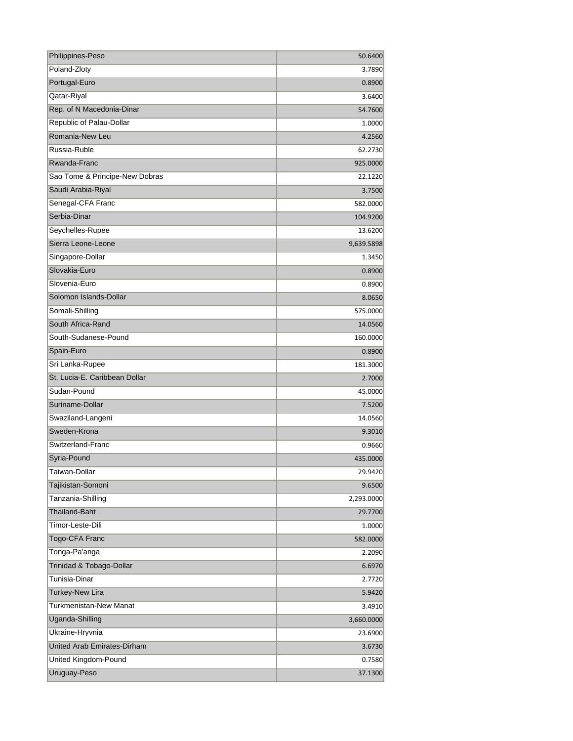| Philippines-Peso               | 50.6400    |
|--------------------------------|------------|
| Poland-Zloty                   | 3.7890     |
| Portugal-Euro                  | 0.8900     |
| Qatar-Riyal                    | 3.6400     |
| Rep. of N Macedonia-Dinar      | 54.7600    |
| Republic of Palau-Dollar       | 1.0000     |
| Romania-New Leu                | 4.2560     |
| Russia-Ruble                   | 62.2730    |
| Rwanda-Franc                   | 925.0000   |
| Sao Tome & Principe-New Dobras | 22.1220    |
| Saudi Arabia-Riyal             | 3.7500     |
| Senegal-CFA Franc              | 582.0000   |
| Serbia-Dinar                   | 104.9200   |
| Seychelles-Rupee               | 13.6200    |
| Sierra Leone-Leone             | 9,639.5898 |
| Singapore-Dollar               | 1.3450     |
| Slovakia-Euro                  | 0.8900     |
| Slovenia-Euro                  | 0.8900     |
| Solomon Islands-Dollar         | 8.0650     |
| Somali-Shilling                | 575.0000   |
| South Africa-Rand              | 14.0560    |
| South-Sudanese-Pound           | 160.0000   |
| Spain-Euro                     | 0.8900     |
| Sri Lanka-Rupee                | 181.3000   |
| St. Lucia-E. Caribbean Dollar  | 2.7000     |
| Sudan-Pound                    | 45.0000    |
| Suriname-Dollar                | 7.5200     |
| Swaziland-Langeni              | 14.0560    |
| Sweden-Krona                   | 9.3010     |
| Switzerland-Franc              | 0.9660     |
| Syria-Pound                    | 435.0000   |
| Taiwan-Dollar                  | 29.9420    |
| Tajikistan-Somoni              | 9.6500     |
| Tanzania-Shilling              | 2,293.0000 |
| <b>Thailand-Baht</b>           | 29.7700    |
| Timor-Leste-Dili               | 1.0000     |
| Togo-CFA Franc                 | 582.0000   |
| Tonga-Pa'anga                  | 2.2090     |
| Trinidad & Tobago-Dollar       | 6.6970     |
| Tunisia-Dinar                  | 2.7720     |
| <b>Turkey-New Lira</b>         | 5.9420     |
| Turkmenistan-New Manat         | 3.4910     |
| Uganda-Shilling                | 3,660.0000 |
| Ukraine-Hryvnia                | 23.6900    |
| United Arab Emirates-Dirham    | 3.6730     |
| United Kingdom-Pound           | 0.7580     |
| Uruguay-Peso                   | 37.1300    |
|                                |            |